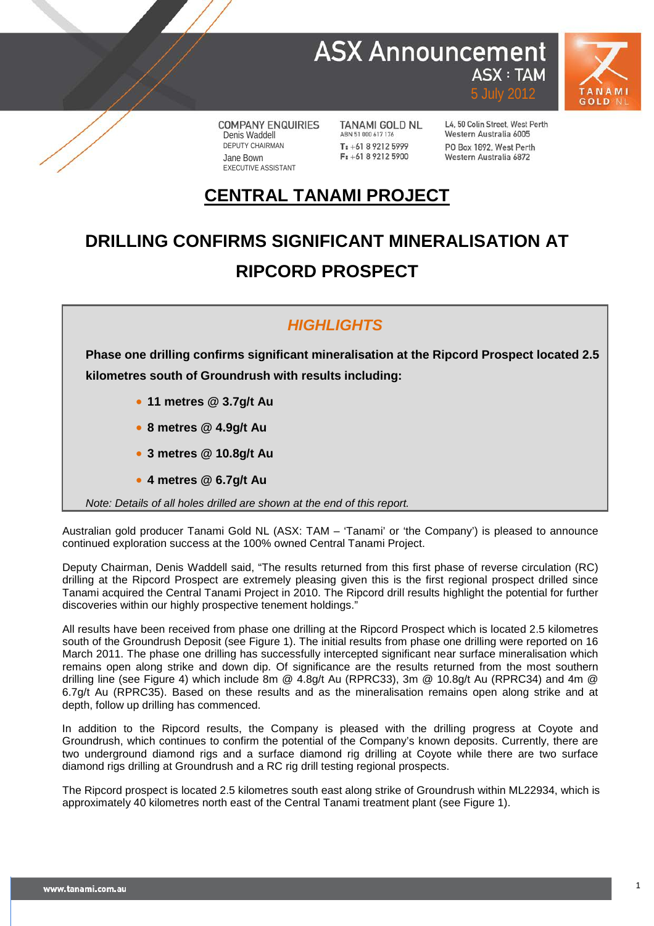## **ASX Announcement ASX: TAM**



**COMPANY ENQUIRIES** Denis Waddell DEPUTY CHAIRMAN Jane Bown EXECUTIVE ASSISTANT

**TANAMI GOLD NL** ABN 51 000 617 176 T: +61 8 9212 5999  $F: +61892125900$ 

L4, 50 Colin Street, West Perth Western Australia 6005 PO Roy 1892 West Perth Western Australia 6872

5 July 2012

# **CENTRAL TANAMI PROJECT**

# **DRILLING CONFIRMS SIGNIFICANT MINERALISATION AT RIPCORD PROSPECT**

## *HIGHLIGHTS*

**Phase one drilling confirms significant mineralisation at the Ripcord Prospect located 2.5 kilometres south of Groundrush with results including:**

- **11 metres @ 3.7g/t Au**
- **8 metres @ 4.9g/t Au**
- **3 metres @ 10.8g/t Au**
- **4 metres @ 6.7g/t Au**

*Note: Details of all holes drilled are shown at the end of this report.*

Australian gold producer Tanami Gold NL (ASX: TAM – 'Tanami' or 'the Company') is pleased to announce continued exploration success at the 100% owned Central Tanami Project.

Deputy Chairman, Denis Waddell said, "The results returned from this first phase of reverse circulation (RC) drilling at the Ripcord Prospect are extremely pleasing given this is the first regional prospect drilled since Tanami acquired the Central Tanami Project in 2010. The Ripcord drill results highlight the potential for further discoveries within our highly prospective tenement holdings."

All results have been received from phase one drilling at the Ripcord Prospect which is located 2.5 kilometres south of the Groundrush Deposit (see Figure 1). The initial results from phase one drilling were reported on 16 March 2011. The phase one drilling has successfully intercepted significant near surface mineralisation which remains open along strike and down dip. Of significance are the results returned from the most southern drilling line (see Figure 4) which include 8m @ 4.8g/t Au (RPRC33), 3m @ 10.8g/t Au (RPRC34) and 4m @ 6.7g/t Au (RPRC35). Based on these results and as the mineralisation remains open along strike and at depth, follow up drilling has commenced.

In addition to the Ripcord results, the Company is pleased with the drilling progress at Coyote and Groundrush, which continues to confirm the potential of the Company's known deposits. Currently, there are two underground diamond rigs and a surface diamond rig drilling at Coyote while there are two surface diamond rigs drilling at Groundrush and a RC rig drill testing regional prospects.

The Ripcord prospect is located 2.5 kilometres south east along strike of Groundrush within ML22934, which is approximately 40 kilometres north east of the Central Tanami treatment plant (see Figure 1).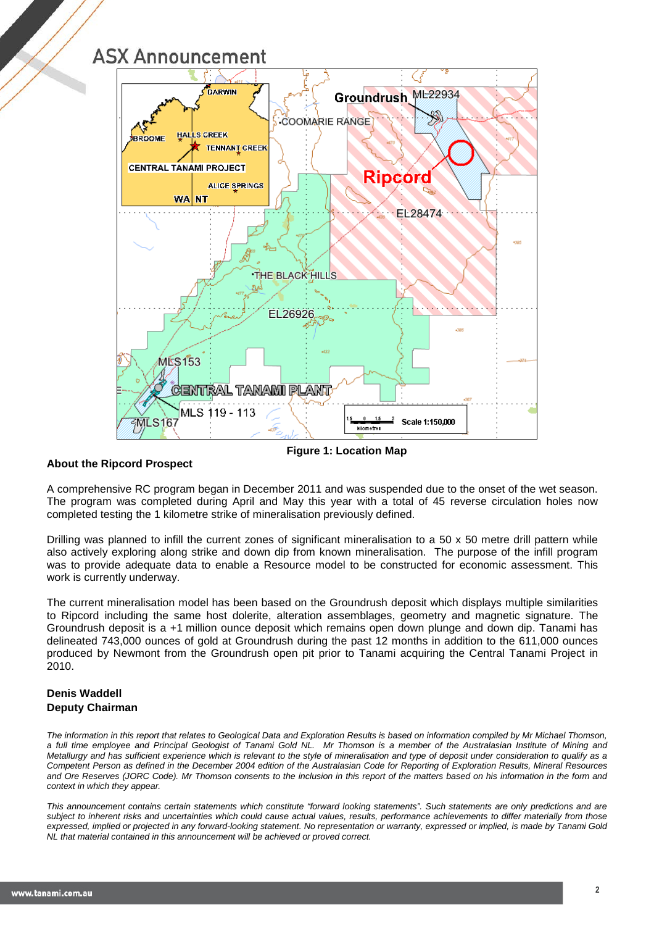### **ASX Announcement DARWIN** ML22934 **Groundrush COOMARIE RANGE HALLS CREEK BROOME TENNANT GREEK CENTRAL TANAMI PROJECT** Ripcord **ALICE SPRINGS WA NT EL28474** THE BLACK HILLS EL26926 **MES153** GENTRAL TANAMI PLANT MLS 119 - 113 **MLS167** Scale 1:150.000 **Milometres**

### **About the Ripcord Prospect**

A comprehensive RC program began in December 2011 and was suspended due to the onset of the wet season. The program was completed during April and May this year with a total of 45 reverse circulation holes now completed testing the 1 kilometre strike of mineralisation previously defined.

**Figure 1: Location Map** 

Drilling was planned to infill the current zones of significant mineralisation to a 50 x 50 metre drill pattern while also actively exploring along strike and down dip from known mineralisation. The purpose of the infill program was to provide adequate data to enable a Resource model to be constructed for economic assessment. This work is currently underway.

The current mineralisation model has been based on the Groundrush deposit which displays multiple similarities to Ripcord including the same host dolerite, alteration assemblages, geometry and magnetic signature. The Groundrush deposit is a +1 million ounce deposit which remains open down plunge and down dip. Tanami has delineated 743,000 ounces of gold at Groundrush during the past 12 months in addition to the 611,000 ounces produced by Newmont from the Groundrush open pit prior to Tanami acquiring the Central Tanami Project in 2010.

### **Denis Waddell Deputy Chairman**

*The information in this report that relates to Geological Data and Exploration Results is based on information compiled by Mr Michael Thomson, a full time employee and Principal Geologist of Tanami Gold NL. Mr Thomson is a member of the Australasian Institute of Mining and Metallurgy and has sufficient experience which is relevant to the style of mineralisation and type of deposit under consideration to qualify as a Competent Person as defined in the December 2004 edition of the Australasian Code for Reporting of Exploration Results, Mineral Resources and Ore Reserves (JORC Code). Mr Thomson consents to the inclusion in this report of the matters based on his information in the form and context in which they appear.*

*This announcement contains certain statements which constitute "forward looking statements". Such statements are only predictions and are subject to inherent risks and uncertainties which could cause actual values, results, performance achievements to differ materially from those expressed, implied or projected in any forward-looking statement. No representation or warranty, expressed or implied, is made by Tanami Gold NL that material contained in this announcement will be achieved or proved correct.*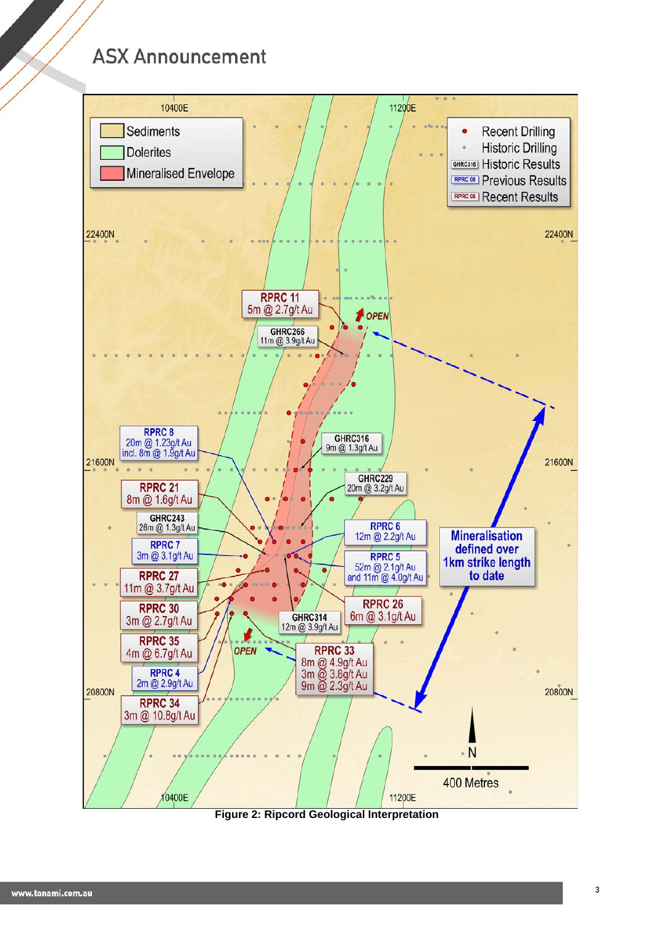

### **Figure 2: Ripcord Geological Interpretation**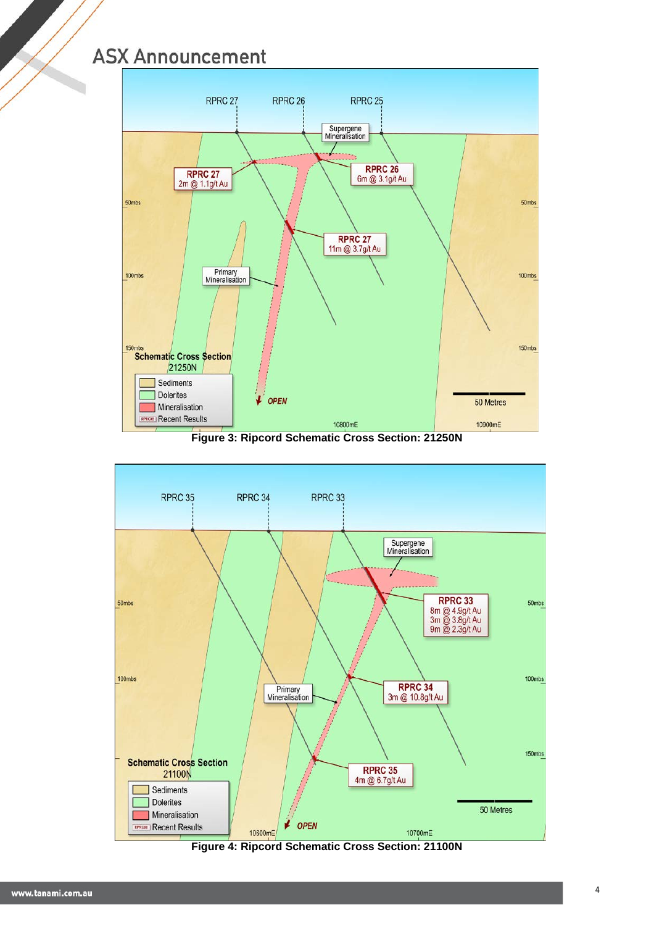

**Figure 3: Ripcord Schematic Cross Section: 21250N**



**Figure 4: Ripcord Schematic Cross Section: 21100N**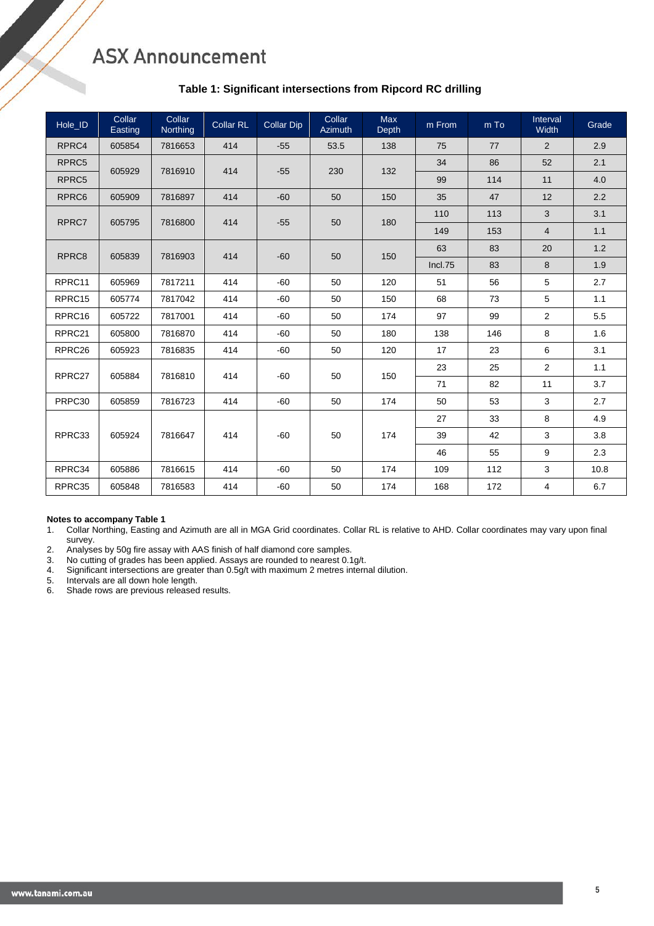| Hole_ID            | Collar<br>Easting | Collar<br>Northing | Collar RL | <b>Collar Dip</b> | Collar<br>Azimuth | <b>Max</b><br><b>Depth</b> | m From  | m To | Interval<br>Width | Grade |
|--------------------|-------------------|--------------------|-----------|-------------------|-------------------|----------------------------|---------|------|-------------------|-------|
| RPRC4              | 605854            | 7816653            | 414       | $-55$             | 53.5              | 138                        | 75      | 77   | 2                 | 2.9   |
| RPRC5              | 605929            | 7816910            | 414       | $-55$             | 230               | 132                        | 34      | 86   | 52                | 2.1   |
| RPRC5              |                   |                    |           |                   |                   |                            | 99      | 114  | 11                | 4.0   |
| RPRC6              | 605909            | 7816897            | 414       | $-60$             | 50                | 150                        | 35      | 47   | 12                | 2.2   |
| RPRC7              | 605795            | 7816800            | 414       | $-55$             | 50                | 180                        | 110     | 113  | 3                 | 3.1   |
|                    |                   |                    |           |                   |                   |                            | 149     | 153  | $\overline{4}$    | 1.1   |
| RPRC8              | 605839            | 7816903            | 414       | $-60$             | 50                | 150                        | 63      | 83   | 20                | 1.2   |
|                    |                   |                    |           |                   |                   |                            | Incl.75 | 83   | 8                 | 1.9   |
| RPRC11             | 605969            | 7817211            | 414       | $-60$             | 50                | 120                        | 51      | 56   | 5                 | 2.7   |
| RPRC15             | 605774            | 7817042            | 414       | $-60$             | 50                | 150                        | 68      | 73   | 5                 | 1.1   |
| RPRC16             | 605722            | 7817001            | 414       | $-60$             | 50                | 174                        | 97      | 99   | $\overline{2}$    | 5.5   |
| RPRC21             | 605800            | 7816870            | 414       | $-60$             | 50                | 180                        | 138     | 146  | 8                 | 1.6   |
| RPRC <sub>26</sub> | 605923            | 7816835            | 414       | -60               | 50                | 120                        | 17      | 23   | 6                 | 3.1   |
| RPRC27             | 605884            | 7816810            | 414       | $-60$             | 50                | 150                        | 23      | 25   | $\overline{2}$    | 1.1   |
|                    |                   |                    |           |                   |                   |                            | 71      | 82   | 11                | 3.7   |
| PRPC30             | 605859            | 7816723            | 414       | $-60$             | 50                | 174                        | 50      | 53   | 3                 | 2.7   |
| RPRC33             | 605924            | 7816647            | 414       | $-60$             | 50                | 174                        | 27      | 33   | 8                 | 4.9   |
|                    |                   |                    |           |                   |                   |                            | 39      | 42   | 3                 | 3.8   |
|                    |                   |                    |           |                   |                   |                            | 46      | 55   | 9                 | 2.3   |
| RPRC34             | 605886            | 7816615            | 414       | $-60$             | 50                | 174                        | 109     | 112  | 3                 | 10.8  |
| RPRC35             | 605848            | 7816583            | 414       | $-60$             | 50                | 174                        | 168     | 172  | 4                 | 6.7   |

### **Table 1: Significant intersections from Ripcord RC drilling**

#### **Notes to accompany Table 1**

1. Collar Northing, Easting and Azimuth are all in MGA Grid coordinates. Collar RL is relative to AHD. Collar coordinates may vary upon final survey.

2. Analyses by 50g fire assay with AAS finish of half diamond core samples.

3. No cutting of grades has been applied. Assays are rounded to nearest 0.1g/t.

4. Significant intersections are greater than 0.5g/t with maximum 2 metres internal dilution.

5. Intervals are all down hole length.<br>6. Shade rows are previous released

Shade rows are previous released results.